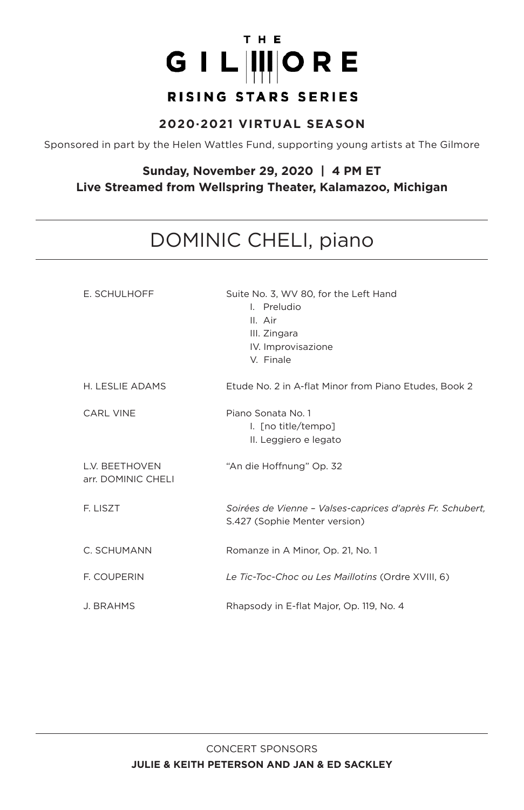# THE GIL IIIORE RISING STARS SERIES

#### **2020·2021 VIRTUAL SEASON**

Sponsored in part by the Helen Wattles Fund, supporting young artists at The Gilmore

#### **Sunday, November 29, 2020 | 4 PM ET Live Streamed from Wellspring Theater, Kalamazoo, Michigan**

# DOMINIC CHELI, piano

| E. SCHULHOFF                                | Suite No. 3, WV 80, for the Left Hand<br>I. Preludio<br>II. Air<br>III. Zingara<br>IV. Improvisazione<br>V. Finale |
|---------------------------------------------|--------------------------------------------------------------------------------------------------------------------|
| H. LESLIE ADAMS                             | Etude No. 2 in A-flat Minor from Piano Etudes, Book 2                                                              |
| <b>CARL VINE</b>                            | Piano Sonata No. 1<br>I. [no title/tempo]<br>II. Leggiero e legato                                                 |
| <b>L.V. BEETHOVEN</b><br>arr. DOMINIC CHELI | "An die Hoffnung" Op. 32                                                                                           |
| F. LISZT                                    | Soirées de Vienne - Valses-caprices d'après Fr. Schubert,<br>S.427 (Sophie Menter version)                         |
| C. SCHUMANN                                 | Romanze in A Minor, Op. 21, No. 1                                                                                  |
| <b>F. COUPERIN</b>                          | Le Tic-Toc-Choc ou Les Maillotins (Ordre XVIII, 6)                                                                 |
| <b>J. BRAHMS</b>                            | Rhapsody in E-flat Major, Op. 119, No. 4                                                                           |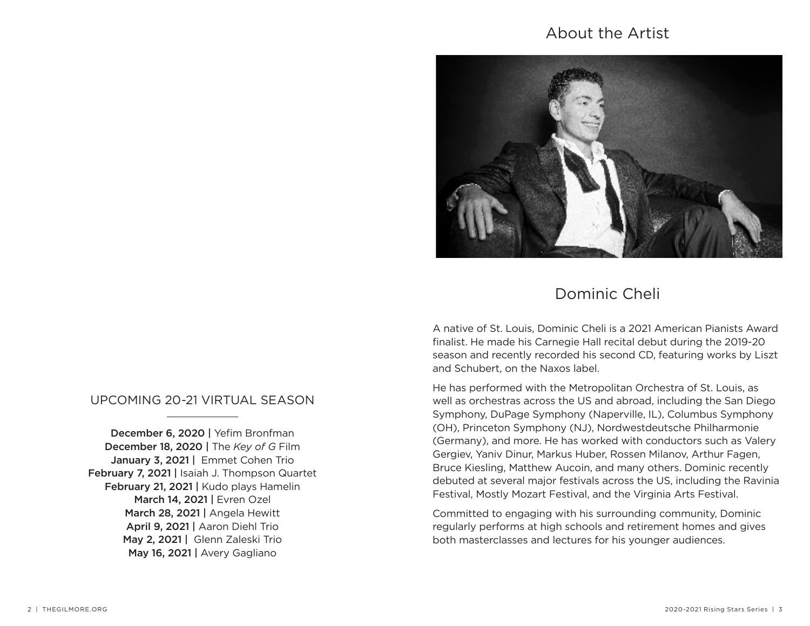# About the Artist



# Dominic Cheli

A native of St. Louis, Dominic Cheli is a 2021 American Pianists Award finalist. He made his Carnegie Hall recital debut during the 2019-20 season and recently recorded his second CD, featuring works by Liszt and Schubert, on the Naxos label.

He has performed with the Metropolitan Orchestra of St. Louis, as well as orchestras across the US and abroad, including the San Diego Symphony, DuPage Symphony (Naperville, IL), Columbus Symphony (OH), Princeton Symphony (NJ), Nordwestdeutsche Philharmonie (Germany), and more. He has worked with conductors such as Valery Gergiev, Yaniv Dinur, Markus Huber, Rossen Milanov, Arthur Fagen, Bruce Kiesling, Matthew Aucoin, and many others. Dominic recently debuted at several major festivals across the US, including the Ravinia Festival, Mostly Mozart Festival, and the Virginia Arts Festival.

Committed to engaging with his surrounding community, Dominic regularly performs at high schools and retirement homes and gives both masterclasses and lectures for his younger audiences.

# UPCOMING 20-21 VIRTUAL SEASON

December 6, 2020 | Yefim Bronfman December 18, 2020 | The *Key of G* Film January 3, 2021 | Emmet Cohen Trio February 7, 2021 | Isaiah J. Thompson Quartet February 21, 2021 | Kudo plays Hamelin March 14, 2021 | Evren Ozel March 28, 2021 | Angela Hewitt April 9, 2021 | Aaron Diehl Trio May 2, 2021 | Glenn Zaleski Trio May 16, 2021 | Avery Gagliano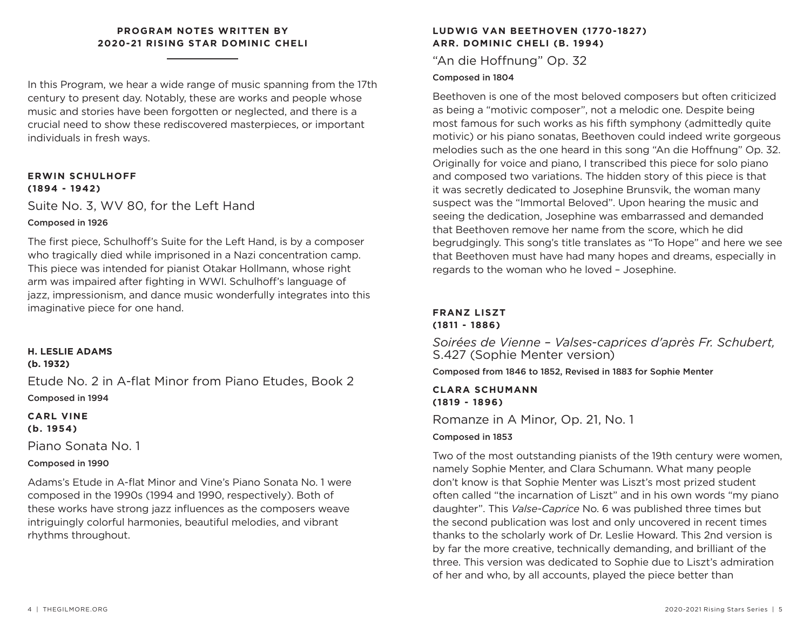#### **PROGRAM NOTES WRITTEN BY 2020-21 RISING STAR DOMINIC CHELI**

In this Program, we hear a wide range of music spanning from the 17th century to present day. Notably, these are works and people whose music and stories have been forgotten or neglected, and there is a crucial need to show these rediscovered masterpieces, or important individuals in fresh ways.

#### **ERWIN SCHULHOFF (1894 - 1942)**

Suite No. 3, WV 80, for the Left Hand

#### Composed in 1926

The first piece, Schulhoff's Suite for the Left Hand, is by a composer who tragically died while imprisoned in a Nazi concentration camp. This piece was intended for pianist Otakar Hollmann, whose right arm was impaired after fighting in WWI. Schulhoff's language of jazz, impressionism, and dance music wonderfully integrates into this imaginative piece for one hand.

#### **H. LESLIE ADAMS (b. 1932)**

Etude No. 2 in A-flat Minor from Piano Etudes, Book 2 Composed in 1994

### **CARL VINE (b. 1954)**

Piano Sonata No. 1

# Composed in 1990

Adams's Etude in A-flat Minor and Vine's Piano Sonata No. 1 were composed in the 1990s (1994 and 1990, respectively). Both of these works have strong jazz influences as the composers weave intriguingly colorful harmonies, beautiful melodies, and vibrant rhythms throughout.

# **LUDWIG VAN BEETHOVEN (1770-1827) ARR. DOMINIC CHELI (B. 1994)**

"An die Hoffnung" Op. 32

### Composed in 1804

Beethoven is one of the most beloved composers but often criticized as being a "motivic composer", not a melodic one. Despite being most famous for such works as his fifth symphony (admittedly quite motivic) or his piano sonatas, Beethoven could indeed write gorgeous melodies such as the one heard in this song "An die Hoffnung" Op. 32. Originally for voice and piano, I transcribed this piece for solo piano and composed two variations. The hidden story of this piece is that it was secretly dedicated to Josephine Brunsvik, the woman many suspect was the "Immortal Beloved". Upon hearing the music and seeing the dedication, Josephine was embarrassed and demanded that Beethoven remove her name from the score, which he did begrudgingly. This song's title translates as "To Hope" and here we see that Beethoven must have had many hopes and dreams, especially in regards to the woman who he loved – Josephine.

#### **FRANZ LISZT (1811 - 1886)**

*Soirées de Vienne – Valses-caprices d'après Fr. Schubert,*  S.427 (Sophie Menter version)

Composed from 1846 to 1852, Revised in 1883 for Sophie Menter

# **CLARA SCHUMANN (1819 - 1896)**

Romanze in A Minor, Op. 21, No. 1

# Composed in 1853

Two of the most outstanding pianists of the 19th century were women, namely Sophie Menter, and Clara Schumann. What many people don't know is that Sophie Menter was Liszt's most prized student often called "the incarnation of Liszt" and in his own words "my piano daughter". This *Valse-Caprice* No. 6 was published three times but the second publication was lost and only uncovered in recent times thanks to the scholarly work of Dr. Leslie Howard. This 2nd version is by far the more creative, technically demanding, and brilliant of the three. This version was dedicated to Sophie due to Liszt's admiration of her and who, by all accounts, played the piece better than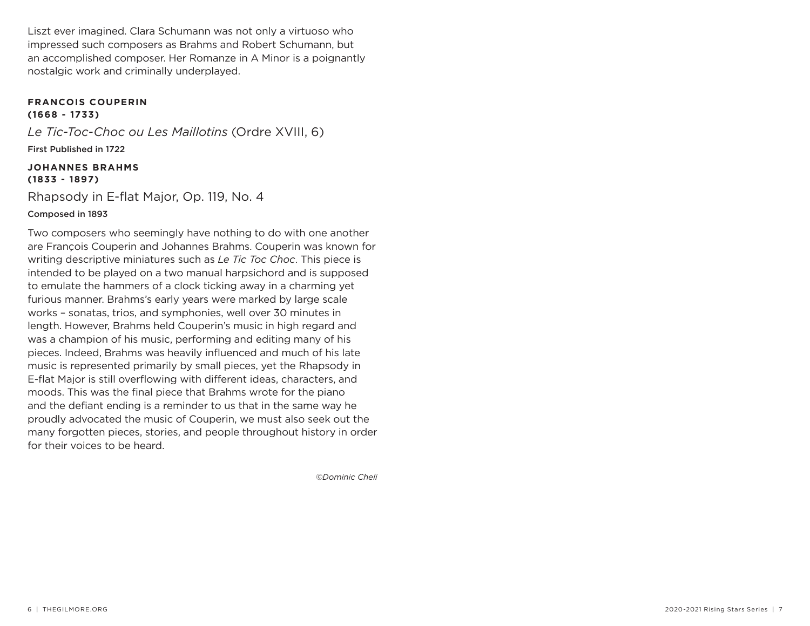Liszt ever imagined. Clara Schumann was not only a virtuoso who impressed such composers as Brahms and Robert Schumann, but an accomplished composer. Her Romanze in A Minor is a poignantly nostalgic work and criminally underplayed.

#### **FRANCOIS COUPERIN (1668 - 1733)**

*Le Tic-Toc-Choc ou Les Maillotins* (Ordre XVIII, 6) First Published in 1722

#### **JOHANNES BRAHMS (1833 - 1897)**

Rhapsody in E-flat Major, Op. 119, No. 4 Composed in 1893

Two composers who seemingly have nothing to do with one another are François Couperin and Johannes Brahms. Couperin was known for writing descriptive miniatures such as *Le Tic Toc Choc*. This piece is intended to be played on a two manual harpsichord and is supposed to emulate the hammers of a clock ticking away in a charming yet furious manner. Brahms's early years were marked by large scale works – sonatas, trios, and symphonies, well over 30 minutes in length. However, Brahms held Couperin's music in high regard and was a champion of his music, performing and editing many of his pieces. Indeed, Brahms was heavily influenced and much of his late music is represented primarily by small pieces, yet the Rhapsody in E-flat Major is still overflowing with different ideas, characters, and moods. This was the final piece that Brahms wrote for the piano and the defiant ending is a reminder to us that in the same way he proudly advocated the music of Couperin, we must also seek out the many forgotten pieces, stories, and people throughout history in order for their voices to be heard.

*©Dominic Cheli*